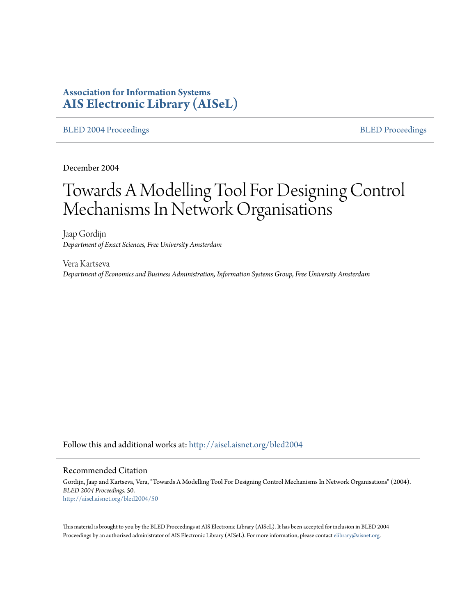# **Association for Information Systems [AIS Electronic Library \(AISeL\)](http://aisel.aisnet.org?utm_source=aisel.aisnet.org%2Fbled2004%2F50&utm_medium=PDF&utm_campaign=PDFCoverPages)**

#### [BLED 2004 Proceedings](http://aisel.aisnet.org/bled2004?utm_source=aisel.aisnet.org%2Fbled2004%2F50&utm_medium=PDF&utm_campaign=PDFCoverPages) and the state of the state of the [BLED Proceedings](http://aisel.aisnet.org/bled?utm_source=aisel.aisnet.org%2Fbled2004%2F50&utm_medium=PDF&utm_campaign=PDFCoverPages) and the BLED Proceedings and the BLED Proceedings and the BLED Proceedings and the BLED Proceedings and the BLED Proceedings and the BLED Proceedings

December 2004

# Towards A Modelling Tool For Designing Control Mechanisms In Network Organisations

Jaap Gordijn *Department of Exact Sciences, Free University Amsterdam*

Vera Kartseva *Department of Economics and Business Administration, Information Systems Group, Free University Amsterdam*

Follow this and additional works at: [http://aisel.aisnet.org/bled2004](http://aisel.aisnet.org/bled2004?utm_source=aisel.aisnet.org%2Fbled2004%2F50&utm_medium=PDF&utm_campaign=PDFCoverPages)

#### Recommended Citation

Gordijn, Jaap and Kartseva, Vera, "Towards A Modelling Tool For Designing Control Mechanisms In Network Organisations" (2004). *BLED 2004 Proceedings*. 50. [http://aisel.aisnet.org/bled2004/50](http://aisel.aisnet.org/bled2004/50?utm_source=aisel.aisnet.org%2Fbled2004%2F50&utm_medium=PDF&utm_campaign=PDFCoverPages)

This material is brought to you by the BLED Proceedings at AIS Electronic Library (AISeL). It has been accepted for inclusion in BLED 2004 Proceedings by an authorized administrator of AIS Electronic Library (AISeL). For more information, please contact [elibrary@aisnet.org](mailto:elibrary@aisnet.org%3E).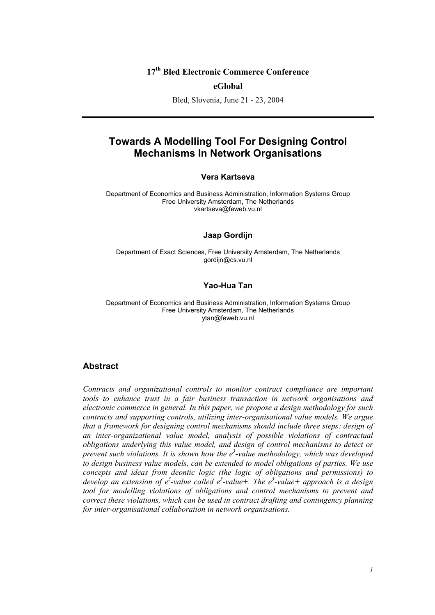# **17th Bled Electronic Commerce Conference**

#### **eGlobal**

Bled, Slovenia, June 21 - 23, 2004

# **Towards A Modelling Tool For Designing Control Mechanisms In Network Organisations**

#### **Vera Kartseva**

Department of Economics and Business Administration, Information Systems Group Free University Amsterdam, The Netherlands vkartseva@feweb.vu.nl

#### **Jaap Gordijn**

Department of Exact Sciences, Free University Amsterdam, The Netherlands gordijn@cs.vu.nl

#### **Yao-Hua Tan**

Department of Economics and Business Administration, Information Systems Group Free University Amsterdam, The Netherlands ytan@feweb.vu.nl

#### **Abstract**

*Contracts and organizational controls to monitor contract compliance are important tools to enhance trust in a fair business transaction in network organisations and electronic commerce in general. In this paper, we propose a design methodology for such contracts and supporting controls, utilizing inter-organisational value models. We argue that a framework for designing control mechanisms should include three steps: design of an inter-organizational value model, analysis of possible violations of contractual obligations underlying this value model, and design of control mechanisms to detect or prevent such violations. It is shown how the e3* -*value methodology, which was developed to design business value models, can be extended to model obligations of parties. We use concepts and ideas from deontic logic (the logic of obligations and permissions) to*  develop an extension of e<sup>3</sup>-value called e<sup>3</sup>-value+. The e<sup>3</sup>-value+ approach is a design tool for modelling violations of obligations and control mechanisms to prevent and *correct these violations, which can be used in contract drafting and contingency planning for inter-organisational collaboration in network organisations.*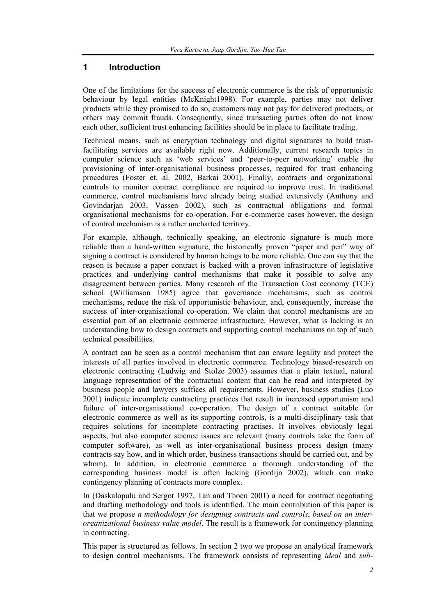# **1 Introduction**

One of the limitations for the success of electronic commerce is the risk of opportunistic behaviour by legal entities (McKnight1998). For example, parties may not deliver products while they promised to do so, customers may not pay for delivered products, or others may commit frauds. Consequently, since transacting parties often do not know each other, sufficient trust enhancing facilities should be in place to facilitate trading.

Technical means, such as encryption technology and digital signatures to build trustfacilitating services are available right now. Additionally, current research topics in computer science such as 'web services' and 'peer-to-peer networking' enable the provisioning of inter-organisational business processes, required for trust enhancing procedures (Foster et. al. 2002, Barkai 2001). Finally, contracts and organizational controls to monitor contract compliance are required to improve trust. In traditional commerce, control mechanisms have already being studied extensively (Anthony and Govindarjan 2003, Vassen 2002), such as contractual obligations and formal organisational mechanisms for co-operation. For e-commerce cases however, the design of control mechanism is a rather uncharted territory.

For example, although, technically speaking, an electronic signature is much more reliable than a hand-written signature, the historically proven "paper and pen" way of signing a contract is considered by human beings to be more reliable. One can say that the reason is because a paper contract is backed with a proven infrastructure of legislative practices and underlying control mechanisms that make it possible to solve any disagreement between parties. Many research of the Transaction Cost economy (TCE) school (Williamson 1985) agree that governance mechanisms, such as control mechanisms, reduce the risk of opportunistic behaviour, and, consequently, increase the success of inter-organisational co-operation. We claim that control mechanisms are an essential part of an electronic commerce infrastructure. However, what is lacking is an understanding how to design contracts and supporting control mechanisms on top of such technical possibilities.

A contract can be seen as a control mechanism that can ensure legality and protect the interests of all parties involved in electronic commerce. Technology biased-research on electronic contracting (Ludwig and Stolze 2003) assumes that a plain textual, natural language representation of the contractual content that can be read and interpreted by business people and lawyers suffices all requirements. However, business studies (Luo 2001) indicate incomplete contracting practices that result in increased opportunism and failure of inter-organisational co-operation. The design of a contract suitable for electronic commerce as well as its supporting controls, is a multi-disciplinary task that requires solutions for incomplete contracting practises. It involves obviously legal aspects, but also computer science issues are relevant (many controls take the form of computer software), as well as inter-organisational business process design (many contracts say how, and in which order, business transactions should be carried out, and by whom). In addition, in electronic commerce a thorough understanding of the corresponding business model is often lacking (Gordijn 2002), which can make contingency planning of contracts more complex.

In (Daskalopulu and Sergot 1997, Tan and Thoen 2001) a need for contract negotiating and drafting methodology and tools is identified. The main contribution of this paper is that we propose *a methodology for designing contracts and controls*, *based on an interorganizational business value model*. The result is a framework for contingency planning in contracting.

This paper is structured as follows. In section 2 two we propose an analytical framework to design control mechanisms. The framework consists of representing *ideal* and *sub-*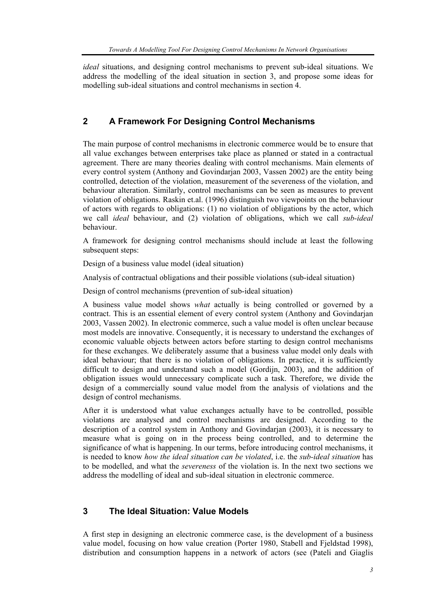*ideal* situations, and designing control mechanisms to prevent sub-ideal situations. We address the modelling of the ideal situation in section 3, and propose some ideas for modelling sub-ideal situations and control mechanisms in section 4.

# **2 A Framework For Designing Control Mechanisms**

The main purpose of control mechanisms in electronic commerce would be to ensure that all value exchanges between enterprises take place as planned or stated in a contractual agreement. There are many theories dealing with control mechanisms. Main elements of every control system (Anthony and Govindarjan 2003, Vassen 2002) are the entity being controlled, detection of the violation, measurement of the severeness of the violation, and behaviour alteration. Similarly, control mechanisms can be seen as measures to prevent violation of obligations. Raskin et.al. (1996) distinguish two viewpoints on the behaviour of actors with regards to obligations: (1) no violation of obligations by the actor, which we call *ideal* behaviour, and (2) violation of obligations, which we call *sub-ideal* behaviour.

A framework for designing control mechanisms should include at least the following subsequent steps:

Design of a business value model (ideal situation)

Analysis of contractual obligations and their possible violations (sub-ideal situation)

Design of control mechanisms (prevention of sub-ideal situation)

A business value model shows *what* actually is being controlled or governed by a contract. This is an essential element of every control system (Anthony and Govindarjan 2003, Vassen 2002). In electronic commerce, such a value model is often unclear because most models are innovative. Consequently, it is necessary to understand the exchanges of economic valuable objects between actors before starting to design control mechanisms for these exchanges. We deliberately assume that a business value model only deals with ideal behaviour; that there is no violation of obligations. In practice, it is sufficiently difficult to design and understand such a model (Gordijn, 2003), and the addition of obligation issues would unnecessary complicate such a task. Therefore, we divide the design of a commercially sound value model from the analysis of violations and the design of control mechanisms.

After it is understood what value exchanges actually have to be controlled, possible violations are analysed and control mechanisms are designed. According to the description of a control system in Anthony and Govindarjan (2003), it is necessary to measure what is going on in the process being controlled, and to determine the significance of what is happening. In our terms, before introducing control mechanisms, it is needed to know *how the ideal situation can be violated*, i.e. the *sub-ideal situation* has to be modelled, and what the *severeness* of the violation is. In the next two sections we address the modelling of ideal and sub-ideal situation in electronic commerce.

# **3 The Ideal Situation: Value Models**

A first step in designing an electronic commerce case, is the development of a business value model, focusing on how value creation (Porter 1980, Stabell and Fjeldstad 1998), distribution and consumption happens in a network of actors (see (Pateli and Giaglis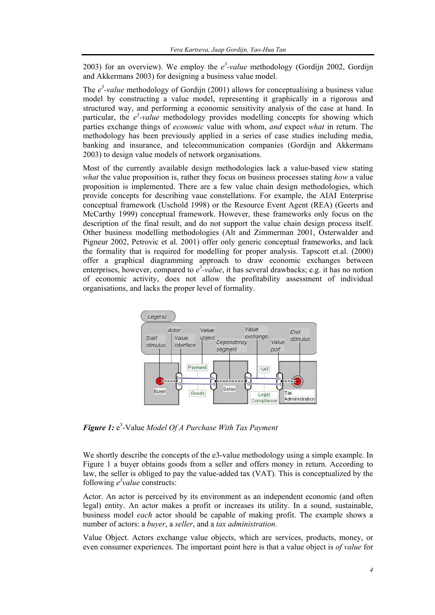2003) for an overview). We employ the  $e^3$ -value methodology (Gordijn 2002, Gordijn and Akkermans 2003) for designing a business value model.

The  $e^3$ -value methodology of Gordijn (2001) allows for conceptualising a business value model by constructing a value model, representing it graphically in a rigorous and structured way, and performing a economic sensitivity analysis of the case at hand. In particular, the  $e^3$ -value methodology provides modelling concepts for showing which parties exchange things of *economic* value with whom, *and* expect *what* in return. The methodology has been previously applied in a series of case studies including media, banking and insurance, and telecommunication companies (Gordijn and Akkermans 2003) to design value models of network organisations.

Most of the currently available design methodologies lack a value-based view stating *what* the value proposition is, rather they focus on business processes stating *how* a value proposition is implemented. There are a few value chain design methodologies, which provide concepts for describing vaue constellations. For example, the AIAI Enterprise conceptual framework (Uschold 1998) or the Resource Event Agent (REA) (Geerts and McCarthy 1999) conceptual framework. However, these frameworks only focus on the description of the final result, and do not support the value chain design process itself. Other business modelling methodologies (Alt and Zimmerman 2001, Osterwalder and Pigneur 2002, Petrovic et al. 2001) offer only generic conceptual frameworks, and lack the formality that is required for modelling for proper analysis. Tapscott et.al. (2000) offer a graphical diagramming approach to draw economic exchanges between enterprises, however, compared to  $e^{3}$ -value, it has several drawbacks; e.g. it has no notion of economic activity, does not allow the profitability assessment of individual organisations, and lacks the proper level of formality.



*Figure 1:* e 3 -Value *Model Of A Purchase With Tax Payment* 

We shortly describe the concepts of the e3-value methodology using a simple example. In Figure 1 a buyer obtains goods from a seller and offers money in return. According to law, the seller is obliged to pay the value-added tax (VAT). This is conceptualized by the following  $e^3$  *value* constructs:

Actor. An actor is perceived by its environment as an independent economic (and often legal) entity. An actor makes a profit or increases its utility. In a sound, sustainable, business model *each* actor should be capable of making profit. The example shows a number of actors: a *buyer*, a *seller*, and a *tax administration*.

Value Object. Actors exchange value objects, which are services, products, money, or even consumer experiences. The important point here is that a value object is *of value* for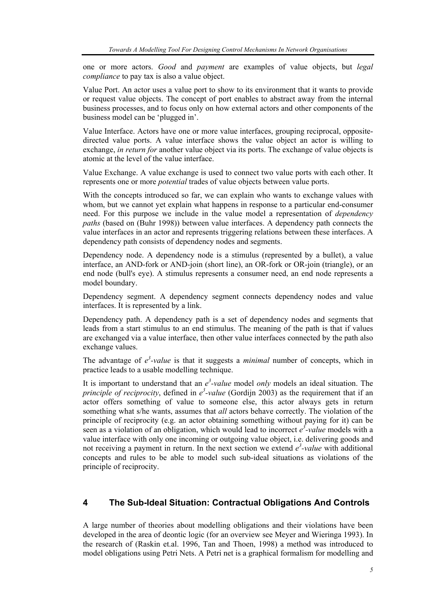one or more actors. *Good* and *payment* are examples of value objects, but *legal compliance* to pay tax is also a value object.

Value Port. An actor uses a value port to show to its environment that it wants to provide or request value objects. The concept of port enables to abstract away from the internal business processes, and to focus only on how external actors and other components of the business model can be 'plugged in'.

Value Interface. Actors have one or more value interfaces, grouping reciprocal, oppositedirected value ports. A value interface shows the value object an actor is willing to exchange, *in return for* another value object via its ports. The exchange of value objects is atomic at the level of the value interface.

Value Exchange. A value exchange is used to connect two value ports with each other. It represents one or more *potential* trades of value objects between value ports.

With the concepts introduced so far, we can explain who wants to exchange values with whom, but we cannot yet explain what happens in response to a particular end-consumer need. For this purpose we include in the value model a representation of *dependency paths* (based on (Buhr 1998)) between value interfaces. A dependency path connects the value interfaces in an actor and represents triggering relations between these interfaces. A dependency path consists of dependency nodes and segments.

Dependency node. A dependency node is a stimulus (represented by a bullet), a value interface, an AND-fork or AND-join (short line), an OR-fork or OR-join (triangle), or an end node (bull's eye). A stimulus represents a consumer need, an end node represents a model boundary.

Dependency segment. A dependency segment connects dependency nodes and value interfaces. It is represented by a link.

Dependency path. A dependency path is a set of dependency nodes and segments that leads from a start stimulus to an end stimulus. The meaning of the path is that if values are exchanged via a value interface, then other value interfaces connected by the path also exchange values.

The advantage of  $e^3$ -value is that it suggests a *minimal* number of concepts, which in practice leads to a usable modelling technique.

It is important to understand that an  $e^3$ -value model *only* models an ideal situation. The *principle of reciprocity*, defined in  $e^3$ -value (Gordijn 2003) as the requirement that if an actor offers something of value to someone else, this actor always gets in return something what s/he wants, assumes that *all* actors behave correctly. The violation of the principle of reciprocity (e.g. an actor obtaining something without paying for it) can be seen as a violation of an obligation, which would lead to incorrect  $e^3$ -value models with a value interface with only one incoming or outgoing value object, i.e. delivering goods and not receiving a payment in return. In the next section we extend  $e^3$ -value with additional concepts and rules to be able to model such sub-ideal situations as violations of the principle of reciprocity.

#### **4 The Sub-Ideal Situation: Contractual Obligations And Controls**

A large number of theories about modelling obligations and their violations have been developed in the area of deontic logic (for an overview see Meyer and Wieringa 1993). In the research of (Raskin et.al. 1996, Tan and Thoen, 1998) a method was introduced to model obligations using Petri Nets. A Petri net is a graphical formalism for modelling and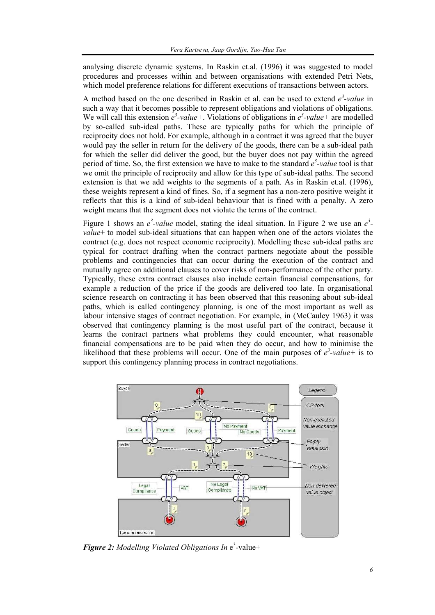analysing discrete dynamic systems. In Raskin et.al. (1996) it was suggested to model procedures and processes within and between organisations with extended Petri Nets, which model preference relations for different executions of transactions between actors.

A method based on the one described in Raskin et al. can be used to extend  $e^3$ -value in such a way that it becomes possible to represent obligations and violations of obligations. We will call this extension  $e^3$ -value+. Violations of obligations in  $e^3$ -value+ are modelled by so-called sub-ideal paths. These are typically paths for which the principle of reciprocity does not hold. For example, although in a contract it was agreed that the buyer would pay the seller in return for the delivery of the goods, there can be a sub-ideal path for which the seller did deliver the good, but the buyer does not pay within the agreed period of time. So, the first extension we have to make to the standard  $e^3$ -value tool is that we omit the principle of reciprocity and allow for this type of sub-ideal paths. The second extension is that we add weights to the segments of a path. As in Raskin et.al. (1996), these weights represent a kind of fines. So, if a segment has a non-zero positive weight it reflects that this is a kind of sub-ideal behaviour that is fined with a penalty. A zero weight means that the segment does not violate the terms of the contract.

Figure 1 shows an  $e^3$ -value model, stating the ideal situation. In Figure 2 we use an  $e^3$ *value*+ to model sub-ideal situations that can happen when one of the actors violates the contract (e.g. does not respect economic reciprocity). Modelling these sub-ideal paths are typical for contract drafting when the contract partners negotiate about the possible problems and contingencies that can occur during the execution of the contract and mutually agree on additional clauses to cover risks of non-performance of the other party. Typically, these extra contract clauses also include certain financial compensations, for example a reduction of the price if the goods are delivered too late. In organisational science research on contracting it has been observed that this reasoning about sub-ideal paths, which is called contingency planning, is one of the most important as well as labour intensive stages of contract negotiation. For example, in (McCauley 1963) it was observed that contingency planning is the most useful part of the contract, because it learns the contract partners what problems they could encounter, what reasonable financial compensations are to be paid when they do occur, and how to minimise the likelihood that these problems will occur. One of the main purposes of  $e^3$ -value+ is to support this contingency planning process in contract negotiations.



**Figure 2:** Modelling Violated Obligations In e<sup>3</sup>-value+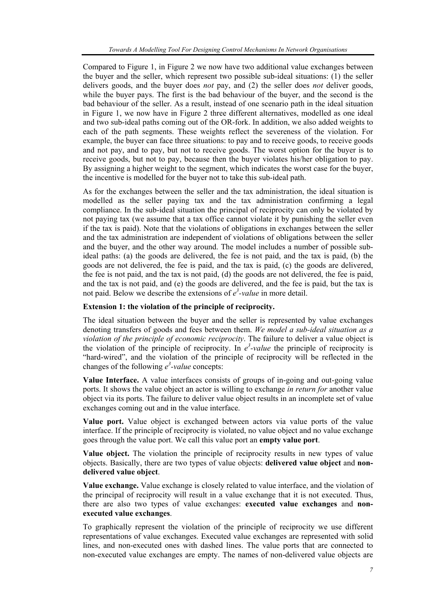Compared to Figure 1, in Figure 2 we now have two additional value exchanges between the buyer and the seller, which represent two possible sub-ideal situations: (1) the seller delivers goods, and the buyer does *not* pay, and (2) the seller does *not* deliver goods, while the buyer pays. The first is the bad behaviour of the buyer, and the second is the bad behaviour of the seller. As a result, instead of one scenario path in the ideal situation in Figure 1, we now have in Figure 2 three different alternatives, modelled as one ideal and two sub-ideal paths coming out of the OR-fork. In addition, we also added weights to each of the path segments. These weights reflect the severeness of the violation. For example, the buyer can face three situations: to pay and to receive goods, to receive goods and not pay, and to pay, but not to receive goods. The worst option for the buyer is to receive goods, but not to pay, because then the buyer violates his/her obligation to pay. By assigning a higher weight to the segment, which indicates the worst case for the buyer, the incentive is modelled for the buyer not to take this sub-ideal path.

As for the exchanges between the seller and the tax administration, the ideal situation is modelled as the seller paying tax and the tax administration confirming a legal compliance. In the sub-ideal situation the principal of reciprocity can only be violated by not paying tax (we assume that a tax office cannot violate it by punishing the seller even if the tax is paid). Note that the violations of obligations in exchanges between the seller and the tax administration are independent of violations of obligations between the seller and the buyer, and the other way around. The model includes a number of possible subideal paths: (a) the goods are delivered, the fee is not paid, and the tax is paid, (b) the goods are not delivered, the fee is paid, and the tax is paid, (c) the goods are delivered, the fee is not paid, and the tax is not paid, (d) the goods are not delivered, the fee is paid, and the tax is not paid, and (e) the goods are delivered, and the fee is paid, but the tax is not paid. Below we describe the extensions of  $e^3$ -value in more detail.

#### **Extension 1: the violation of the principle of reciprocity.**

The ideal situation between the buyer and the seller is represented by value exchanges denoting transfers of goods and fees between them. *We model a sub-ideal situation as a violation of the principle of economic reciprocity*. The failure to deliver a value object is the violation of the principle of reciprocity. In  $e^3$ -value the principle of reciprocity is "hard-wired", and the violation of the principle of reciprocity will be reflected in the changes of the following  $e^3$ -value concepts:

**Value Interface.** A value interfaces consists of groups of in-going and out-going value ports. It shows the value object an actor is willing to exchange *in return for* another value object via its ports. The failure to deliver value object results in an incomplete set of value exchanges coming out and in the value interface.

**Value port.** Value object is exchanged between actors via value ports of the value interface. If the principle of reciprocity is violated, no value object and no value exchange goes through the value port. We call this value port an **empty value port**.

**Value object.** The violation the principle of reciprocity results in new types of value objects. Basically, there are two types of value objects: **delivered value object** and **nondelivered value object**.

**Value exchange.** Value exchange is closely related to value interface, and the violation of the principal of reciprocity will result in a value exchange that it is not executed. Thus, there are also two types of value exchanges: **executed value exchanges** and **nonexecuted value exchanges**.

To graphically represent the violation of the principle of reciprocity we use different representations of value exchanges. Executed value exchanges are represented with solid lines, and non-executed ones with dashed lines. The value ports that are connected to non-executed value exchanges are empty. The names of non-delivered value objects are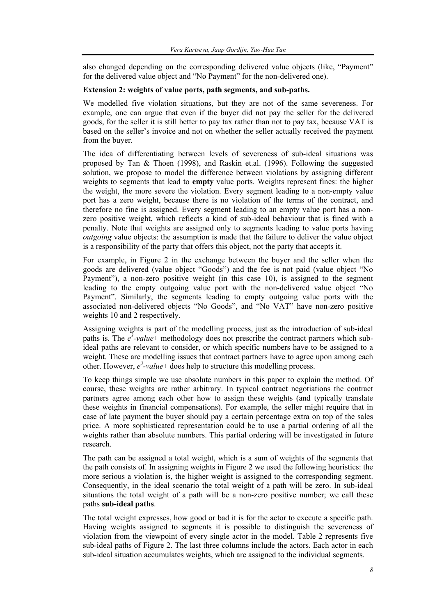also changed depending on the corresponding delivered value objects (like, "Payment" for the delivered value object and "No Payment" for the non-delivered one).

#### **Extension 2: weights of value ports, path segments, and sub-paths.**

We modelled five violation situations, but they are not of the same severeness. For example, one can argue that even if the buyer did not pay the seller for the delivered goods, for the seller it is still better to pay tax rather than not to pay tax, because VAT is based on the seller's invoice and not on whether the seller actually received the payment from the buyer.

The idea of differentiating between levels of severeness of sub-ideal situations was proposed by Tan & Thoen (1998), and Raskin et.al. (1996). Following the suggested solution, we propose to model the difference between violations by assigning different weights to segments that lead to **empty** value ports. Weights represent fines: the higher the weight, the more severe the violation. Every segment leading to a non-empty value port has a zero weight, because there is no violation of the terms of the contract, and therefore no fine is assigned. Every segment leading to an empty value port has a nonzero positive weight, which reflects a kind of sub-ideal behaviour that is fined with a penalty. Note that weights are assigned only to segments leading to value ports having *outgoing* value objects: the assumption is made that the failure to deliver the value object is a responsibility of the party that offers this object, not the party that accepts it.

For example, in Figure 2 in the exchange between the buyer and the seller when the goods are delivered (value object "Goods") and the fee is not paid (value object "No Payment"), a non-zero positive weight (in this case 10), is assigned to the segment leading to the empty outgoing value port with the non-delivered value object "No Payment". Similarly, the segments leading to empty outgoing value ports with the associated non-delivered objects "No Goods", and "No VAT" have non-zero positive weights 10 and 2 respectively.

Assigning weights is part of the modelling process, just as the introduction of sub-ideal paths is. The  $e^3$ -value<sup>+</sup> methodology does not prescribe the contract partners which subideal paths are relevant to consider, or which specific numbers have to be assigned to a weight. These are modelling issues that contract partners have to agree upon among each other. However,  $e^3$ -value<sup>+</sup> does help to structure this modelling process.

To keep things simple we use absolute numbers in this paper to explain the method. Of course, these weights are rather arbitrary. In typical contract negotiations the contract partners agree among each other how to assign these weights (and typically translate these weights in financial compensations). For example, the seller might require that in case of late payment the buyer should pay a certain percentage extra on top of the sales price. A more sophisticated representation could be to use a partial ordering of all the weights rather than absolute numbers. This partial ordering will be investigated in future research.

The path can be assigned a total weight, which is a sum of weights of the segments that the path consists of. In assigning weights in Figure 2 we used the following heuristics: the more serious a violation is, the higher weight is assigned to the corresponding segment. Consequently, in the ideal scenario the total weight of a path will be zero. In sub-ideal situations the total weight of a path will be a non-zero positive number; we call these paths **sub-ideal paths**.

The total weight expresses, how good or bad it is for the actor to execute a specific path. Having weights assigned to segments it is possible to distinguish the severeness of violation from the viewpoint of every single actor in the model. Table 2 represents five sub-ideal paths of Figure 2. The last three columns include the actors. Each actor in each sub-ideal situation accumulates weights, which are assigned to the individual segments.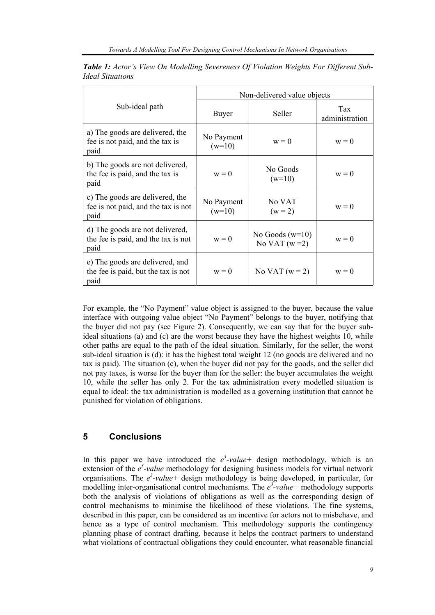|                                                                                | Non-delivered value objects |                                     |                       |
|--------------------------------------------------------------------------------|-----------------------------|-------------------------------------|-----------------------|
| Sub-ideal path                                                                 | Buyer                       | Seller                              | Tax<br>administration |
| a) The goods are delivered, the<br>fee is not paid, and the tax is<br>paid     | No Payment<br>$(w=10)$      | $w = 0$                             | $w = 0$               |
| b) The goods are not delivered,<br>the fee is paid, and the tax is<br>paid     | $w = 0$                     | No Goods<br>$(w=10)$                | $w = 0$               |
| c) The goods are delivered, the<br>fee is not paid, and the tax is not<br>paid | No Payment<br>$(w=10)$      | No VAT<br>$(w = 2)$                 | $w = 0$               |
| d) The goods are not delivered,<br>the fee is paid, and the tax is not<br>paid | $w = 0$                     | No Goods $(w=10)$<br>No VAT $(w=2)$ | $w = 0$               |
| e) The goods are delivered, and<br>the fee is paid, but the tax is not<br>paid | $w = 0$                     | No VAT $(w = 2)$                    | $w = 0$               |

*Table 1: Actor's View On Modelling Severeness Of Violation Weights For Different Sub-Ideal Situations* 

For example, the "No Payment" value object is assigned to the buyer, because the value interface with outgoing value object "No Payment" belongs to the buyer, notifying that the buyer did not pay (see Figure 2). Consequently, we can say that for the buyer subideal situations (a) and (c) are the worst because they have the highest weights 10, while other paths are equal to the path of the ideal situation. Similarly, for the seller, the worst sub-ideal situation is (d): it has the highest total weight 12 (no goods are delivered and no tax is paid). The situation (c), when the buyer did not pay for the goods, and the seller did not pay taxes, is worse for the buyer than for the seller: the buyer accumulates the weight 10, while the seller has only 2. For the tax administration every modelled situation is equal to ideal: the tax administration is modelled as a governing institution that cannot be punished for violation of obligations.

### **5 Conclusions**

In this paper we have introduced the  $e^3$ -value+ design methodology, which is an extension of the  $e^3$ -value methodology for designing business models for virtual network organisations. The  $e^3$ -value+ design methodology is being developed, in particular, for modelling inter-organisational control mechanisms. The  $e^3$ -value+ methodology supports both the analysis of violations of obligations as well as the corresponding design of control mechanisms to minimise the likelihood of these violations. The fine systems, described in this paper, can be considered as an incentive for actors not to misbehave, and hence as a type of control mechanism. This methodology supports the contingency planning phase of contract drafting, because it helps the contract partners to understand what violations of contractual obligations they could encounter, what reasonable financial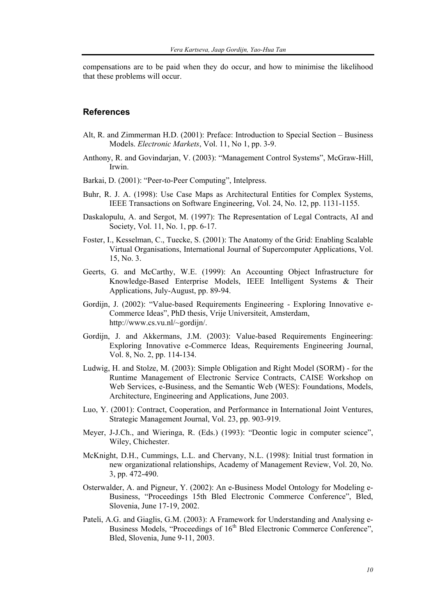compensations are to be paid when they do occur, and how to minimise the likelihood that these problems will occur.

#### **References**

- Alt, R. and Zimmerman H.D. (2001): Preface: Introduction to Special Section Business Models. *Electronic Markets*, Vol. 11, No 1, pp. 3-9.
- Anthony, R. and Govindarjan, V. (2003): "Management Control Systems", McGraw-Hill, Irwin.
- Barkai, D. (2001): "Peer-to-Peer Computing", Intelpress.
- Buhr, R. J. A. (1998): Use Case Maps as Architectural Entities for Complex Systems, IEEE Transactions on Software Engineering, Vol. 24, No. 12, pp. 1131-1155.
- Daskalopulu, A. and Sergot, M. (1997): The Representation of Legal Contracts, AI and Society, Vol. 11, No. 1, pp. 6-17.
- Foster, I., Kesselman, C., Tuecke, S. (2001): The Anatomy of the Grid: Enabling Scalable Virtual Organisations, International Journal of Supercomputer Applications, Vol. 15, No. 3.
- Geerts, G. and McCarthy, W.E. (1999): An Accounting Object Infrastructure for Knowledge-Based Enterprise Models, IEEE Intelligent Systems & Their Applications, July-August, pp. 89-94.
- Gordijn, J. (2002): "Value-based Requirements Engineering Exploring Innovative e-Commerce Ideas", PhD thesis, Vrije Universiteit, Amsterdam, http://www.cs.vu.nl/~gordijn/.
- Gordijn, J. and Akkermans, J.M. (2003): Value-based Requirements Engineering: Exploring Innovative e-Commerce Ideas, Requirements Engineering Journal, Vol. 8, No. 2, pp. 114-134.
- Ludwig, H. and Stolze, M. (2003): Simple Obligation and Right Model (SORM) for the Runtime Management of Electronic Service Contracts, CAISE Workshop on Web Services, e-Business, and the Semantic Web (WES): Foundations, Models, Architecture, Engineering and Applications, June 2003.
- Luo, Y. (2001): Contract, Cooperation, and Performance in International Joint Ventures, Strategic Management Journal, Vol. 23, pp. 903-919.
- Meyer, J-J.Ch., and Wieringa, R. (Eds.) (1993): "Deontic logic in computer science", Wiley, Chichester.
- McKnight, D.H., Cummings, L.L. and Chervany, N.L. (1998): Initial trust formation in new organizational relationships, Academy of Management Review, Vol. 20, No. 3, pp. 472-490.
- Osterwalder, A. and Pigneur, Y. (2002): An e-Business Model Ontology for Modeling e-Business, "Proceedings 15th Bled Electronic Commerce Conference", Bled, Slovenia, June 17-19, 2002.
- Pateli, A.G. and Giaglis, G.M. (2003): A Framework for Understanding and Analysing e-Business Models, "Proceedings of 16<sup>th</sup> Bled Electronic Commerce Conference", Bled, Slovenia, June 9-11, 2003.